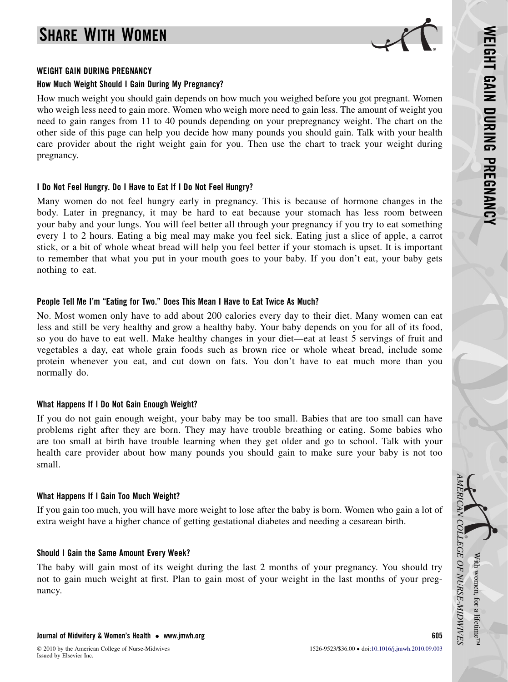# SHARE WITH WOMEN



#### WEIGHT GAIN DURING PREGNANCY

### How Much Weight Should I Gain During My Pregnancy?

How much weight you should gain depends on how much you weighed before you got pregnant. Women who weigh less need to gain more. Women who weigh more need to gain less. The amount of weight you need to gain ranges from 11 to 40 pounds depending on your prepregnancy weight. The chart on the other side of this page can help you decide how many pounds you should gain. Talk with your health care provider about the right weight gain for you. Then use the chart to track your weight during pregnancy.

### I Do Not Feel Hungry. Do I Have to Eat If I Do Not Feel Hungry?

Many women do not feel hungry early in pregnancy. This is because of hormone changes in the body. Later in pregnancy, it may be hard to eat because your stomach has less room between your baby and your lungs. You will feel better all through your pregnancy if you try to eat something every 1 to 2 hours. Eating a big meal may make you feel sick. Eating just a slice of apple, a carrot stick, or a bit of whole wheat bread will help you feel better if your stomach is upset. It is important to remember that what you put in your mouth goes to your baby. If you don't eat, your baby gets nothing to eat.

## People Tell Me I'm "Eating for Two." Does This Mean I Have to Eat Twice As Much?

No. Most women only have to add about 200 calories every day to their diet. Many women can eat less and still be very healthy and grow a healthy baby. Your baby depends on you for all of its food, so you do have to eat well. Make healthy changes in your diet—eat at least 5 servings of fruit and vegetables a day, eat whole grain foods such as brown rice or whole wheat bread, include some protein whenever you eat, and cut down on fats. You don't have to eat much more than you normally do.

## What Happens If I Do Not Gain Enough Weight?

If you do not gain enough weight, your baby may be too small. Babies that are too small can have problems right after they are born. They may have trouble breathing or eating. Some babies who are too small at birth have trouble learning when they get older and go to school. Talk with your health care provider about how many pounds you should gain to make sure your baby is not too small.

## What Happens If I Gain Too Much Weight?

If you gain too much, you will have more weight to lose after the baby is born. Women who gain a lot of extra weight have a higher chance of getting gestational diabetes and needing a cesarean birth.

## Should I Gain the Same Amount Every Week?

The baby will gain most of its weight during the last 2 months of your pregnancy. You should try not to gain much weight at first. Plan to gain most of your weight in the last months of your pregnancy.

With

AMERICAN

COLLEGE

OF

NURSE-MIDWIVES

women,

for a lifetime